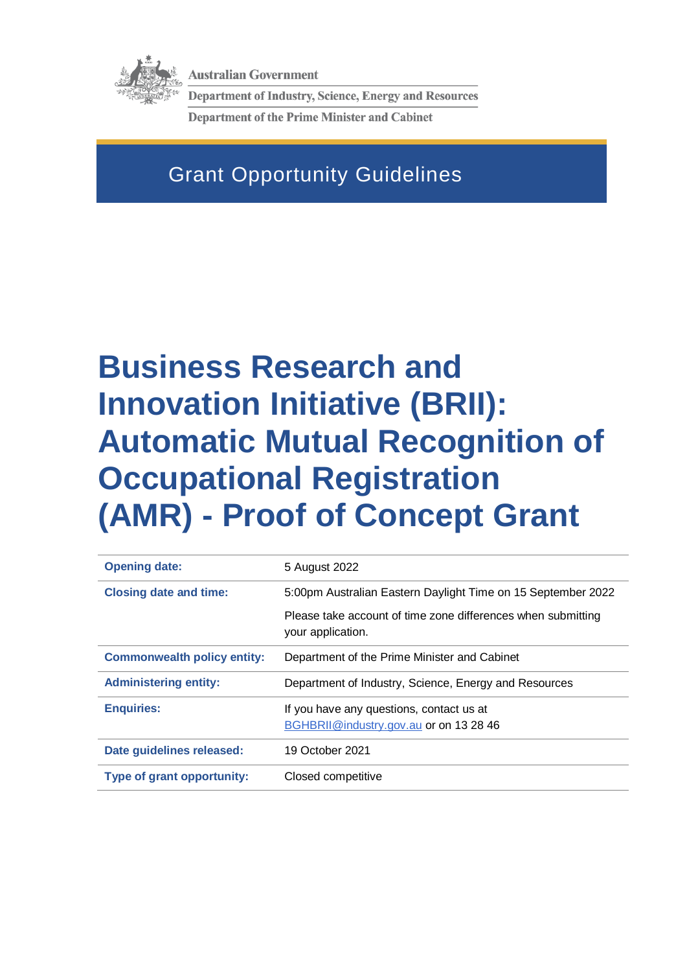

**Australian Government** 

**Department of Industry, Science, Energy and Resources Department of the Prime Minister and Cabinet** 

# Grant Opportunity Guidelines

# **Business Research and Innovation Initiative (BRII): Automatic Mutual Recognition of Occupational Registration (AMR) - Proof of Concept Grant**

| <b>Opening date:</b>               | 5 August 2022                                                                     |
|------------------------------------|-----------------------------------------------------------------------------------|
| <b>Closing date and time:</b>      | 5:00pm Australian Eastern Daylight Time on 15 September 2022                      |
|                                    | Please take account of time zone differences when submitting<br>your application. |
| <b>Commonwealth policy entity:</b> | Department of the Prime Minister and Cabinet                                      |
|                                    |                                                                                   |
| <b>Administering entity:</b>       | Department of Industry, Science, Energy and Resources                             |
| <b>Enquiries:</b>                  | If you have any questions, contact us at                                          |
|                                    | BGHBRII@industry.gov.au or on 13 28 46                                            |
| Date guidelines released:          | 19 October 2021                                                                   |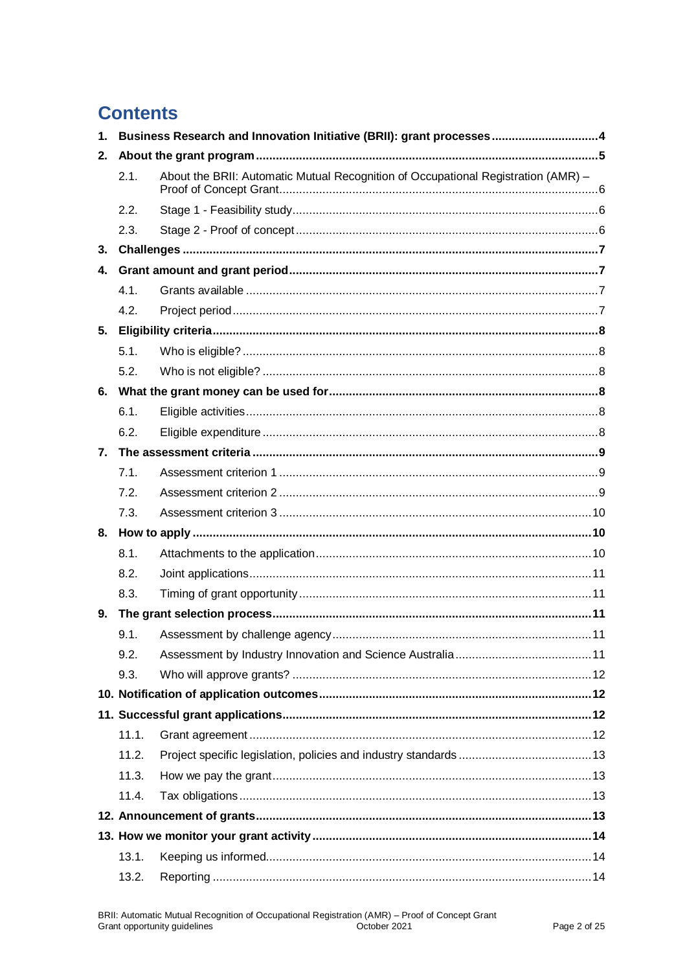# **Contents**

| $\mathbf{1}$ . |       | Business Research and Innovation Initiative (BRII): grant processes4              |  |
|----------------|-------|-----------------------------------------------------------------------------------|--|
| 2.             |       |                                                                                   |  |
|                | 2.1.  | About the BRII: Automatic Mutual Recognition of Occupational Registration (AMR) - |  |
|                | 2.2.  |                                                                                   |  |
|                | 2.3.  |                                                                                   |  |
| 3.             |       |                                                                                   |  |
| 4.             |       |                                                                                   |  |
|                | 4.1.  |                                                                                   |  |
|                | 4.2.  |                                                                                   |  |
| 5.             |       |                                                                                   |  |
|                | 5.1.  |                                                                                   |  |
|                | 5.2.  |                                                                                   |  |
| 6.             |       |                                                                                   |  |
|                | 6.1.  |                                                                                   |  |
|                | 6.2.  |                                                                                   |  |
| 7.             |       |                                                                                   |  |
|                | 7.1.  |                                                                                   |  |
|                | 7.2.  |                                                                                   |  |
|                | 7.3.  |                                                                                   |  |
|                |       |                                                                                   |  |
|                | 8.1.  |                                                                                   |  |
|                | 8.2.  |                                                                                   |  |
|                | 8.3.  |                                                                                   |  |
| 9.             |       |                                                                                   |  |
|                | 9.1.  |                                                                                   |  |
|                | 9.2.  |                                                                                   |  |
|                | 9.3.  |                                                                                   |  |
|                |       |                                                                                   |  |
|                |       |                                                                                   |  |
|                | 11.1. |                                                                                   |  |
|                | 11.2. |                                                                                   |  |
|                | 11.3. |                                                                                   |  |
|                | 11.4. |                                                                                   |  |
|                |       |                                                                                   |  |
|                |       |                                                                                   |  |
|                | 13.1. |                                                                                   |  |
|                | 13.2. |                                                                                   |  |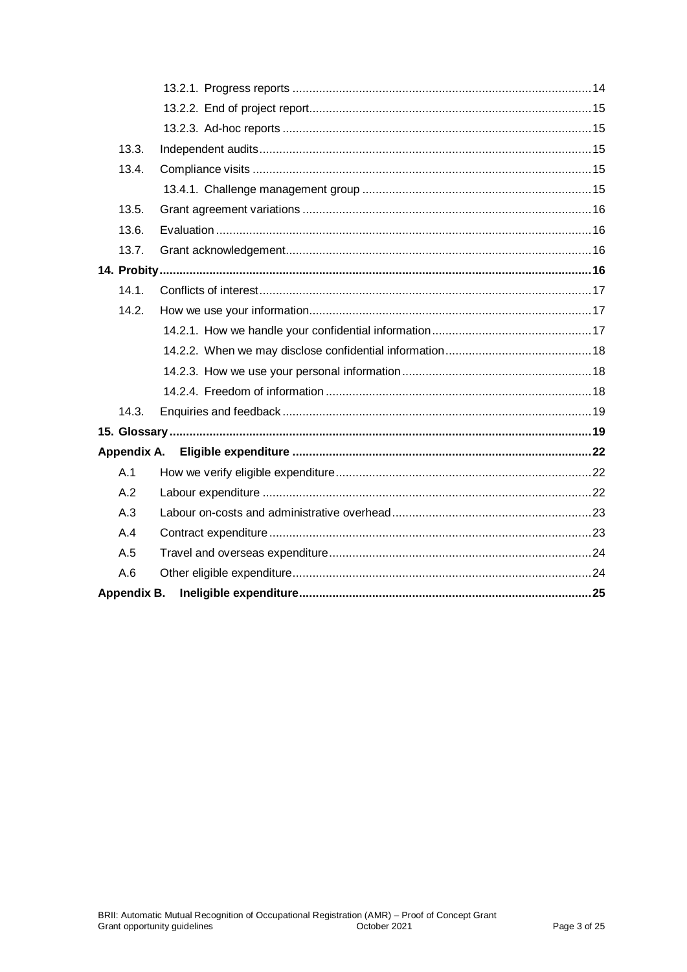| 13.3.              |  |
|--------------------|--|
| 13.4.              |  |
|                    |  |
| 13.5.              |  |
| 13.6.              |  |
| 13.7.              |  |
|                    |  |
| 14.1.              |  |
| 14.2.              |  |
|                    |  |
|                    |  |
|                    |  |
|                    |  |
| 14.3.              |  |
|                    |  |
|                    |  |
| A.1                |  |
| A.2                |  |
| A.3                |  |
| A.4                |  |
| A.5                |  |
| A.6                |  |
| <b>Appendix B.</b> |  |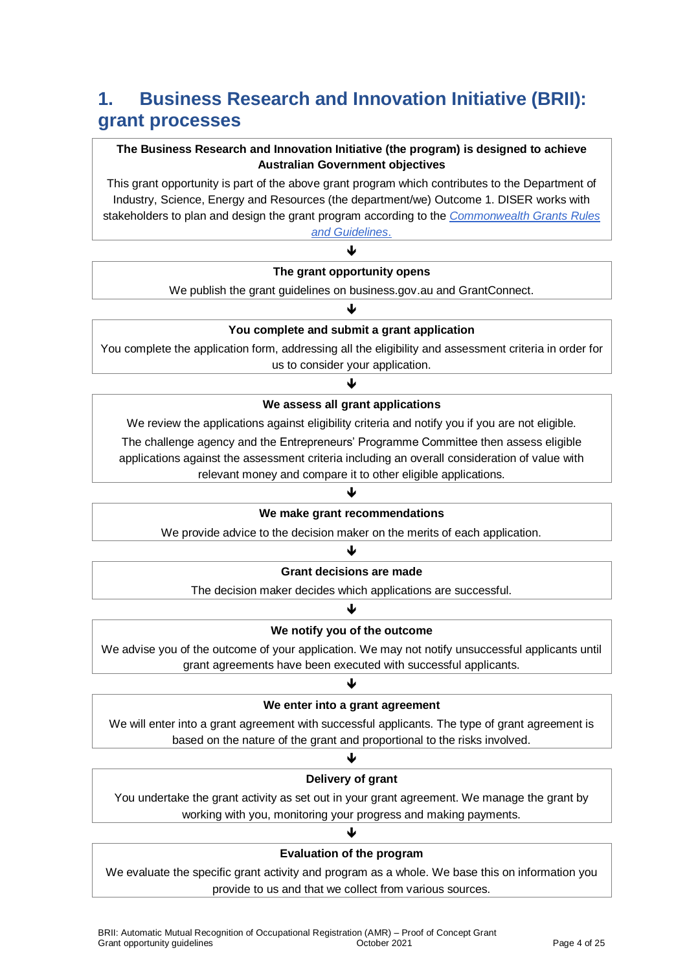# **1. Business Research and Innovation Initiative (BRII): grant processes**

#### **The Business Research and Innovation Initiative (the program) is designed to achieve Australian Government objectives**

This grant opportunity is part of the above grant program which contributes to the Department of Industry, Science, Energy and Resources (the department/we) Outcome 1. DISER works with stakeholders to plan and design the grant program according to the *[Commonwealth Grants Rules](https://www.finance.gov.au/government/commonwealth-grants/commonwealth-grants-rules-guidelines)* 

*[and Guidelines](https://www.finance.gov.au/government/commonwealth-grants/commonwealth-grants-rules-guidelines)*. J

#### **The grant opportunity opens**

We publish the grant guidelines on business.gov.au and GrantConnect. J

#### **You complete and submit a grant application**

You complete the application form, addressing all the eligibility and assessment criteria in order for us to consider your application.

#### ብ **We assess all grant applications**

We review the applications against eligibility criteria and notify you if you are not eligible. The challenge agency and the Entrepreneurs' Programme Committee then assess eligible applications against the assessment criteria including an overall consideration of value with relevant money and compare it to other eligible applications.

#### ♦

#### **We make grant recommendations**

We provide advice to the decision maker on the merits of each application.

#### ↓

#### **Grant decisions are made**

The decision maker decides which applications are successful.

#### ♦

#### **We notify you of the outcome**

We advise you of the outcome of your application. We may not notify unsuccessful applicants until grant agreements have been executed with successful applicants.

#### ብ

#### **We enter into a grant agreement**

We will enter into a grant agreement with successful applicants. The type of grant agreement is based on the nature of the grant and proportional to the risks involved.

#### ↓ **Delivery of grant**

You undertake the grant activity as set out in your grant agreement. We manage the grant by working with you, monitoring your progress and making payments.

#### J **Evaluation of the program**

We evaluate the specific grant activity and program as a whole. We base this on information you provide to us and that we collect from various sources.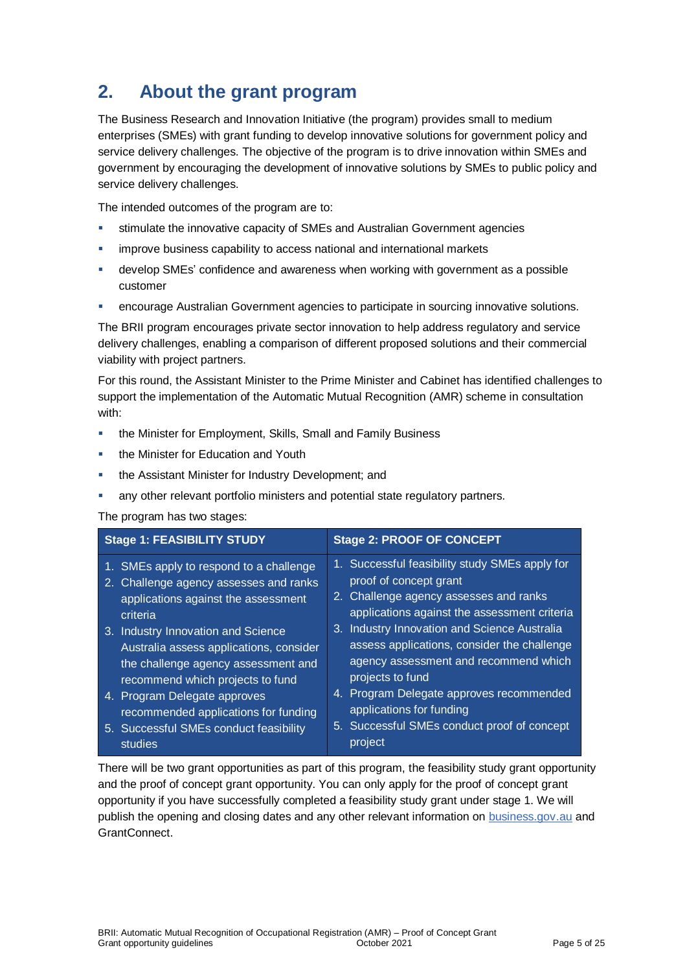# **2. About the grant program**

The Business Research and Innovation Initiative (the program) provides small to medium enterprises (SMEs) with grant funding to develop innovative solutions for government policy and service delivery challenges. The objective of the program is to drive innovation within SMEs and government by encouraging the development of innovative solutions by SMEs to public policy and service delivery challenges.

The intended outcomes of the program are to:

- stimulate the innovative capacity of SMEs and Australian Government agencies
- improve business capability to access national and international markets
- develop SMEs' confidence and awareness when working with government as a possible customer
- encourage Australian Government agencies to participate in sourcing innovative solutions.

The BRII program encourages private sector innovation to help address regulatory and service delivery challenges, enabling a comparison of different proposed solutions and their commercial viability with project partners.

For this round, the Assistant Minister to the Prime Minister and Cabinet has identified challenges to support the implementation of the Automatic Mutual Recognition (AMR) scheme in consultation with:

- **the Minister for Employment, Skills, Small and Family Business**
- **the Minister for Education and Youth**
- the Assistant Minister for Industry Development; and
- any other relevant portfolio ministers and potential state regulatory partners.

#### The program has two stages:

| <b>Stage 1: FEASIBILITY STUDY</b>                                                                                                                                                                                                                                                                                                                                                                                                        | <b>Stage 2: PROOF OF CONCEPT</b>                                                                                                                                                                                                                                                                                                                                                                                                                      |  |
|------------------------------------------------------------------------------------------------------------------------------------------------------------------------------------------------------------------------------------------------------------------------------------------------------------------------------------------------------------------------------------------------------------------------------------------|-------------------------------------------------------------------------------------------------------------------------------------------------------------------------------------------------------------------------------------------------------------------------------------------------------------------------------------------------------------------------------------------------------------------------------------------------------|--|
| 1. SMEs apply to respond to a challenge<br>2. Challenge agency assesses and ranks<br>applications against the assessment<br>criteria<br>3. Industry Innovation and Science<br>Australia assess applications, consider<br>the challenge agency assessment and<br>recommend which projects to fund<br>4. Program Delegate approves<br>recommended applications for funding<br>5. Successful SMEs conduct feasibility<br>project<br>studies | 1. Successful feasibility study SMEs apply for<br>proof of concept grant<br>2. Challenge agency assesses and ranks<br>applications against the assessment criteria<br>3. Industry Innovation and Science Australia<br>assess applications, consider the challenge<br>agency assessment and recommend which<br>projects to fund<br>4. Program Delegate approves recommended<br>applications for funding<br>5. Successful SMEs conduct proof of concept |  |

There will be two grant opportunities as part of this program, the feasibility study grant opportunity and the proof of concept grant opportunity. You can only apply for the proof of concept grant opportunity if you have successfully completed a feasibility study grant under stage 1. We will publish the opening and closing dates and any other relevant information on [business.gov.au](https://business.gov.au/grants-and-programs/brii-automatic-mutual-recognition-of-occupational-registration) and GrantConnect.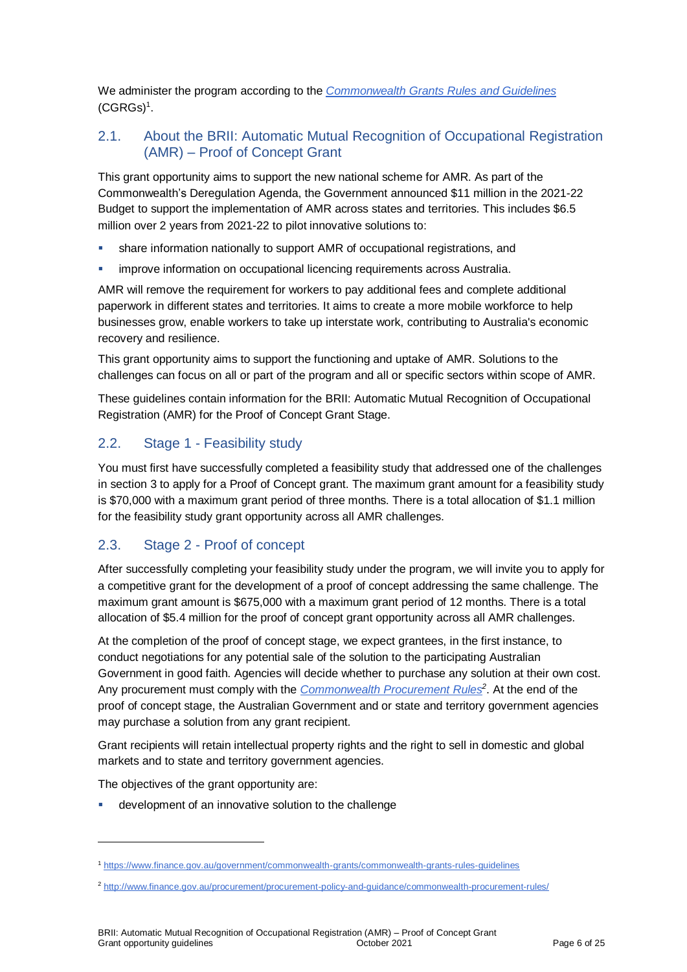We administer the program according to the *[Commonwealth Grants Rules](https://www.finance.gov.au/government/commonwealth-grants/commonwealth-grants-rules-guidelines) and Guidelines*  $(CGRGs)^1$  $(CGRGs)^1$ .

#### 2.1. About the BRII: Automatic Mutual Recognition of Occupational Registration (AMR) – Proof of Concept Grant

This grant opportunity aims to support the new national scheme for AMR. As part of the Commonwealth's Deregulation Agenda, the Government announced \$11 million in the 2021-22 Budget to support the implementation of AMR across states and territories. This includes \$6.5 million over 2 years from 2021-22 to pilot innovative solutions to:

- share information nationally to support AMR of occupational registrations, and
- improve information on occupational licencing requirements across Australia.

AMR will remove the requirement for workers to pay additional fees and complete additional paperwork in different states and territories. It aims to create a more mobile workforce to help businesses grow, enable workers to take up interstate work, contributing to Australia's economic recovery and resilience.

This grant opportunity aims to support the functioning and uptake of AMR. Solutions to the challenges can focus on all or part of the program and all or specific sectors within scope of AMR.

These guidelines contain information for the BRII: Automatic Mutual Recognition of Occupational Registration (AMR) for the Proof of Concept Grant Stage.

#### 2.2. Stage 1 - Feasibility study

You must first have successfully completed a feasibility study that addressed one of the challenges in section 3 to apply for a Proof of Concept grant. The maximum grant amount for a feasibility study is \$70,000 with a maximum grant period of three months. There is a total allocation of \$1.1 million for the feasibility study grant opportunity across all AMR challenges.

#### 2.3. Stage 2 - Proof of concept

After successfully completing your feasibility study under the program, we will invite you to apply for a competitive grant for the development of a proof of concept addressing the same challenge. The maximum grant amount is \$675,000 with a maximum grant period of 12 months. There is a total allocation of \$5.4 million for the proof of concept grant opportunity across all AMR challenges.

At the completion of the proof of concept stage, we expect grantees, in the first instance, to conduct negotiations for any potential sale of the solution to the participating Australian Government in good faith. Agencies will decide whether to purchase any solution at their own cost. Any procurement must comply with the *[Commonwealth Procurement Rules](http://www.finance.gov.au/procurement/procurement-policy-and-guidance/commonwealth-procurement-rules/)<sup>2</sup>* . At the end of the proof of concept stage, the Australian Government and or state and territory government agencies may purchase a solution from any grant recipient.

Grant recipients will retain intellectual property rights and the right to sell in domestic and global markets and to state and territory government agencies.

The objectives of the grant opportunity are:

l

development of an innovative solution to the challenge

<sup>1</sup> <https://www.finance.gov.au/government/commonwealth-grants/commonwealth-grants-rules-guidelines>

<sup>2</sup> <http://www.finance.gov.au/procurement/procurement-policy-and-guidance/commonwealth-procurement-rules/>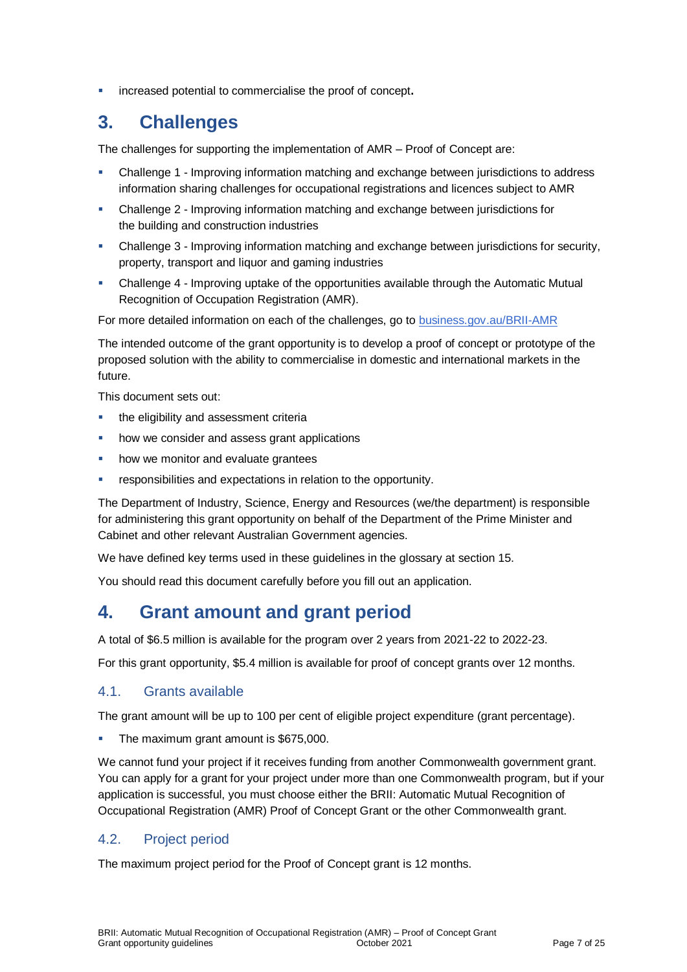increased potential to commercialise the proof of concept**.**

### **3. Challenges**

The challenges for supporting the implementation of AMR – Proof of Concept are:

- Challenge 1 Improving information matching and exchange between jurisdictions to address information sharing challenges for occupational registrations and licences subject to AMR
- Challenge 2 Improving information matching and exchange between jurisdictions for the building and construction industries
- Challenge 3 Improving information matching and exchange between jurisdictions for security, property, transport and liquor and gaming industries
- Challenge 4 Improving uptake of the opportunities available through the Automatic Mutual Recognition of Occupation Registration (AMR).

For more detailed information on each of the challenges, go to [business.gov.au/BRII-AMR](https://business.gov.au/BRII-AMR)

The intended outcome of the grant opportunity is to develop a proof of concept or prototype of the proposed solution with the ability to commercialise in domestic and international markets in the future.

This document sets out:

- **the eligibility and assessment criterially**
- how we consider and assess grant applications
- how we monitor and evaluate grantees
- responsibilities and expectations in relation to the opportunity.

The Department of Industry, Science, Energy and Resources (we/the department) is responsible for administering this grant opportunity on behalf of the Department of the Prime Minister and Cabinet and other relevant Australian Government agencies.

We have defined key terms used in these guidelines in the glossary at section 15.

You should read this document carefully before you fill out an application.

### **4. Grant amount and grant period**

A total of \$6.5 million is available for the program over 2 years from 2021-22 to 2022-23.

For this grant opportunity, \$5.4 million is available for proof of concept grants over 12 months.

#### 4.1. Grants available

The grant amount will be up to 100 per cent of eligible project expenditure (grant percentage).

The maximum grant amount is \$675,000.

We cannot fund your project if it receives funding from another Commonwealth government grant. You can apply for a grant for your project under more than one Commonwealth program, but if your application is successful, you must choose either the BRII: Automatic Mutual Recognition of Occupational Registration (AMR) Proof of Concept Grant or the other Commonwealth grant.

#### 4.2. Project period

The maximum project period for the Proof of Concept grant is 12 months.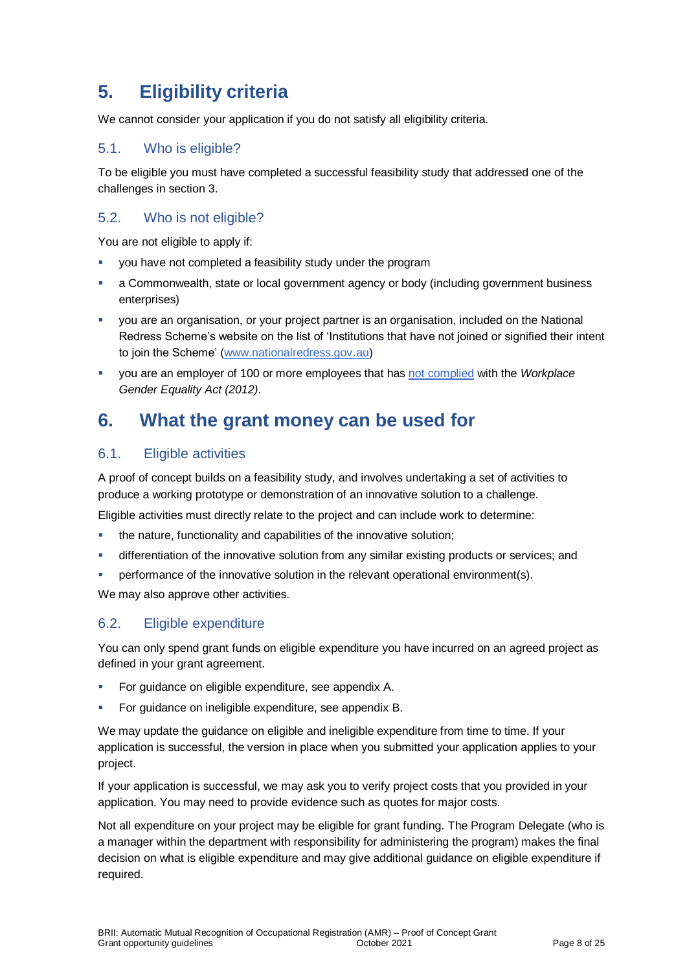# **5. Eligibility criteria**

We cannot consider your application if you do not satisfy all eligibility criteria.

#### 5.1. Who is eligible?

To be eligible you must have completed a successful feasibility study that addressed one of the challenges in section 3.

#### 5.2. Who is not eligible?

You are not eligible to apply if:

- you have not completed a feasibility study under the program
- a Commonwealth, state or local government agency or body (including government business enterprises)
- you are an organisation, or your project partner is an organisation, included on the National Redress Scheme's website on the list of 'Institutions that have not joined or signified their intent to join the Scheme' [\(www.nationalredress.gov.au\)](http://www.nationalredress.gov.au/)
- you are an employer of 100 or more employees that has [not complied](https://www.wgea.gov.au/what-we-do/compliance-reporting/non-compliant-list) with the *Workplace Gender Equality Act (2012)*.

### **6. What the grant money can be used for**

#### <span id="page-7-0"></span>6.1. Eligible activities

A proof of concept builds on a feasibility study, and involves undertaking a set of activities to produce a working prototype or demonstration of an innovative solution to a challenge.

Eligible activities must directly relate to the project and can include work to determine:

- the nature, functionality and capabilities of the innovative solution;
- differentiation of the innovative solution from any similar existing products or services; and
- **•** performance of the innovative solution in the relevant operational environment(s).

We may also approve other activities.

#### <span id="page-7-1"></span>6.2. Eligible expenditure

You can only spend grant funds on eligible expenditure you have incurred on an agreed project as defined in your grant agreement.

- For guidance on eligible expenditure, see appendix A.
- For guidance on ineligible expenditure, see appendix B.

We may update the quidance on eligible and ineligible expenditure from time to time. If your application is successful, the version in place when you submitted your application applies to your project.

If your application is successful, we may ask you to verify project costs that you provided in your application. You may need to provide evidence such as quotes for major costs.

Not all expenditure on your project may be eligible for grant funding. The Program Delegate (who is a manager within the department with responsibility for administering the program) makes the final decision on what is eligible expenditure and may give additional guidance on eligible expenditure if required.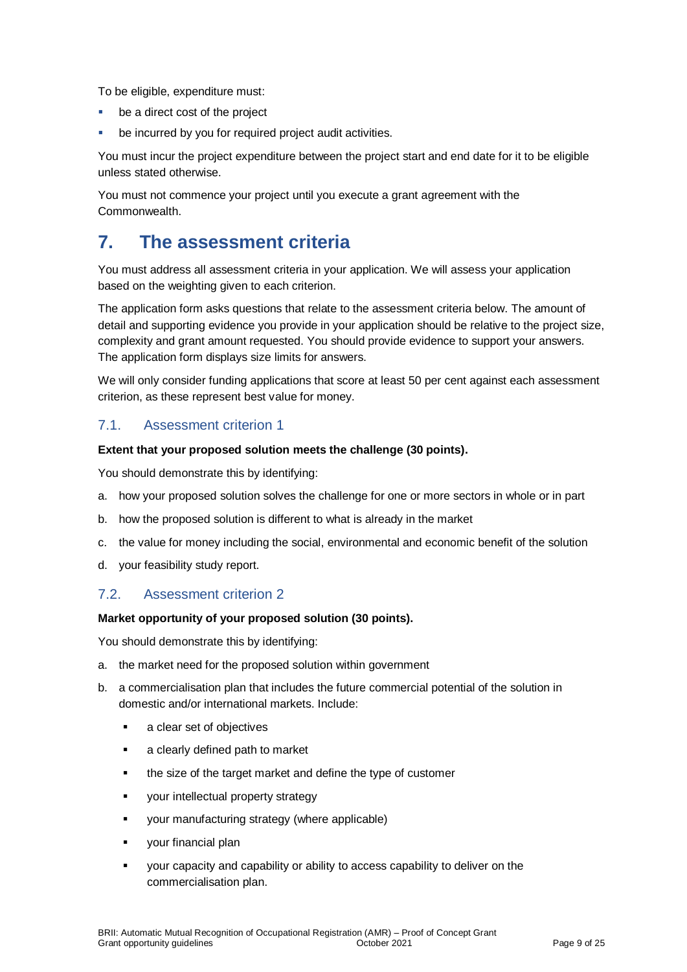To be eligible, expenditure must:

- be a direct cost of the project
- be incurred by you for required project audit activities.

You must incur the project expenditure between the project start and end date for it to be eligible unless stated otherwise.

You must not commence your project until you execute a grant agreement with the Commonwealth.

### **7. The assessment criteria**

You must address all assessment criteria in your application. We will assess your application based on the weighting given to each criterion.

The application form asks questions that relate to the assessment criteria below. The amount of detail and supporting evidence you provide in your application should be relative to the project size, complexity and grant amount requested. You should provide evidence to support your answers. The application form displays size limits for answers.

We will only consider funding applications that score at least 50 per cent against each assessment criterion, as these represent best value for money.

#### 7.1. Assessment criterion 1

#### **Extent that your proposed solution meets the challenge (30 points).**

You should demonstrate this by identifying:

- a. how your proposed solution solves the challenge for one or more sectors in whole or in part
- b. how the proposed solution is different to what is already in the market
- c. the value for money including the social, environmental and economic benefit of the solution
- d. your feasibility study report.

#### 7.2. Assessment criterion 2

#### **Market opportunity of your proposed solution (30 points).**

You should demonstrate this by identifying:

- a. the market need for the proposed solution within government
- b. a commercialisation plan that includes the future commercial potential of the solution in domestic and/or international markets. Include:
	- **a** clear set of objectives
	- **a** clearly defined path to market
	- the size of the target market and define the type of customer
	- **v** your intellectual property strategy
	- your manufacturing strategy (where applicable)
	- **vour financial plan**
	- your capacity and capability or ability to access capability to deliver on the commercialisation plan.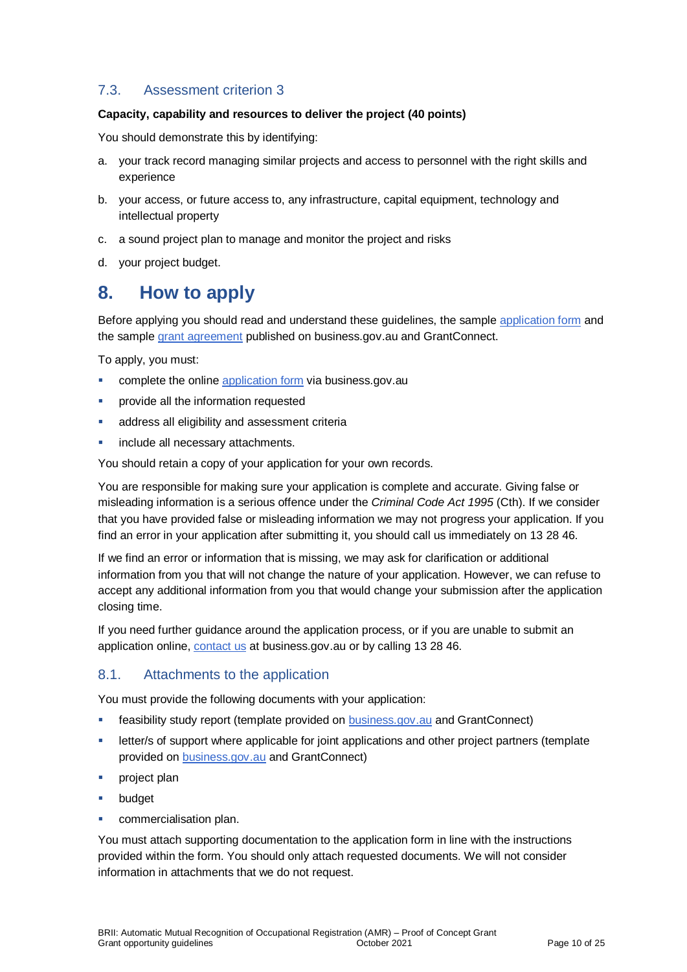#### 7.3. Assessment criterion 3

#### **Capacity, capability and resources to deliver the project (40 points)**

You should demonstrate this by identifying:

- a. your track record managing similar projects and access to personnel with the right skills and experience
- b. your access, or future access to, any infrastructure, capital equipment, technology and intellectual property
- c. a sound project plan to manage and monitor the project and risks
- d. your project budget.

### **8. How to apply**

Before applying you should read and understand these guidelines, the sample [application form](https://business.gov.au/grants-and-programs/brii-automatic-mutual-recognition-of-occupational-registration#key-documents) and the sampl[e grant agreement](https://business.gov.au/grants-and-programs/brii-automatic-mutual-recognition-of-occupational-registration#key-documents) published on business.gov.au and GrantConnect.

To apply, you must:

- complete the online [application form](https://business.gov.au/grants-and-programs/brii-automatic-mutual-recognition-of-occupational-registration) via business.gov.au
- **Provide all the information requested**
- address all eligibility and assessment criteria
- include all necessary attachments.

You should retain a copy of your application for your own records.

You are responsible for making sure your application is complete and accurate. Giving false or misleading information is a serious offence under the *Criminal Code Act 1995* (Cth). If we consider that you have provided false or misleading information we may not progress your application. If you find an error in your application after submitting it, you should call us immediately on 13 28 46.

If we find an error or information that is missing, we may ask for clarification or additional information from you that will not change the nature of your application. However, we can refuse to accept any additional information from you that would change your submission after the application closing time.

If you need further guidance around the application process, or if you are unable to submit an application online, [contact us](https://www.business.gov.au/contact-us) at business.gov.au or by calling 13 28 46.

#### 8.1. Attachments to the application

You must provide the following documents with your application:

- **EXECT** feasibility study report (template provided on **business.gov.au** and GrantConnect)
- letter/s of support where applicable for joint applications and other project partners (template provided on [business.gov.au](https://business.gov.au/grants-and-programs/brii-automatic-mutual-recognition-of-occupational-registration#key-documents) and GrantConnect)
- project plan
- budget
- commercialisation plan.

You must attach supporting documentation to the application form in line with the instructions provided within the form. You should only attach requested documents. We will not consider information in attachments that we do not request.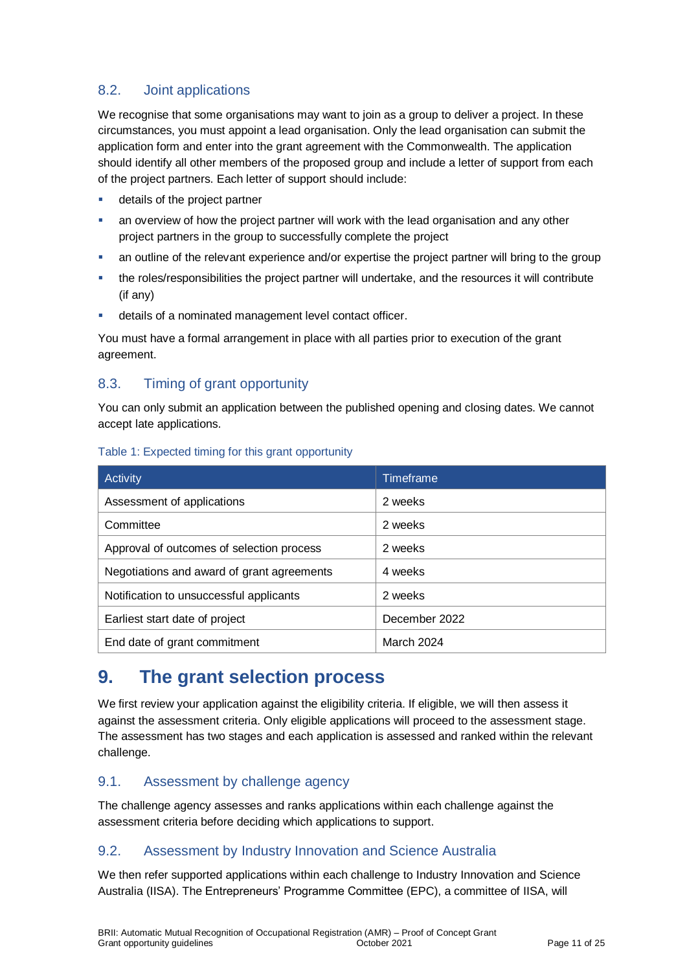#### 8.2. Joint applications

We recognise that some organisations may want to join as a group to deliver a project. In these circumstances, you must appoint a lead organisation. Only the lead organisation can submit the application form and enter into the grant agreement with the Commonwealth. The application should identify all other members of the proposed group and include a letter of support from each of the project partners. Each letter of support should include:

- details of the project partner
- an overview of how the project partner will work with the lead organisation and any other project partners in the group to successfully complete the project
- an outline of the relevant experience and/or expertise the project partner will bring to the group
- the roles/responsibilities the project partner will undertake, and the resources it will contribute (if any)
- details of a nominated management level contact officer.

You must have a formal arrangement in place with all parties prior to execution of the grant agreement.

#### 8.3. Timing of grant opportunity

You can only submit an application between the published opening and closing dates. We cannot accept late applications.

| Activity                                   | <b>Timeframe</b> |
|--------------------------------------------|------------------|
| Assessment of applications                 | 2 weeks          |
| Committee                                  | 2 weeks          |
| Approval of outcomes of selection process  | 2 weeks          |
| Negotiations and award of grant agreements | 4 weeks          |
| Notification to unsuccessful applicants    | 2 weeks          |
| Earliest start date of project             | December 2022    |
| End date of grant commitment               | March 2024       |

#### Table 1: Expected timing for this grant opportunity

### **9. The grant selection process**

We first review your application against the eligibility criteria. If eligible, we will then assess it against the assessment criteria. Only eligible applications will proceed to the assessment stage. The assessment has two stages and each application is assessed and ranked within the relevant challenge.

#### 9.1. Assessment by challenge agency

The challenge agency assesses and ranks applications within each challenge against the assessment criteria before deciding which applications to support.

#### 9.2. Assessment by Industry Innovation and Science Australia

We then refer supported applications within each challenge to Industry Innovation and Science Australia (IISA). The Entrepreneurs' Programme Committee (EPC), a committee of IISA, will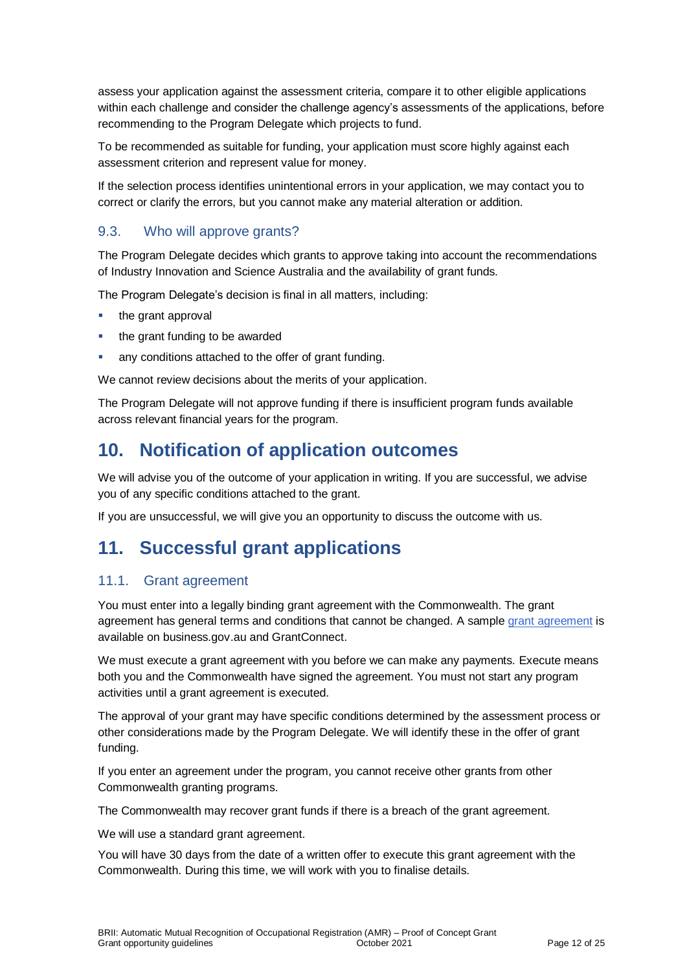assess your application against the assessment criteria, compare it to other eligible applications within each challenge and consider the challenge agency's assessments of the applications, before recommending to the Program Delegate which projects to fund.

To be recommended as suitable for funding, your application must score highly against each assessment criterion and represent value for money.

If the selection process identifies unintentional errors in your application, we may contact you to correct or clarify the errors, but you cannot make any material alteration or addition.

#### 9.3. Who will approve grants?

The Program Delegate decides which grants to approve taking into account the recommendations of Industry Innovation and Science Australia and the availability of grant funds.

The Program Delegate's decision is final in all matters, including:

- $\blacksquare$  the grant approval
- the grant funding to be awarded
- any conditions attached to the offer of grant funding.

We cannot review decisions about the merits of your application.

The Program Delegate will not approve funding if there is insufficient program funds available across relevant financial years for the program.

### **10. Notification of application outcomes**

We will advise you of the outcome of your application in writing. If you are successful, we advise you of any specific conditions attached to the grant.

If you are unsuccessful, we will give you an opportunity to discuss the outcome with us.

### **11. Successful grant applications**

#### 11.1. Grant agreement

You must enter into a legally binding grant agreement with the Commonwealth. The grant agreement has general terms and conditions that cannot be changed. A sample [grant agreement](https://business.gov.au/grants-and-programs/brii-automatic-mutual-recognition-of-occupational-registration#key-documents) is available on business.gov.au and GrantConnect.

We must execute a grant agreement with you before we can make any payments. Execute means both you and the Commonwealth have signed the agreement. You must not start any program activities until a grant agreement is executed.

The approval of your grant may have specific conditions determined by the assessment process or other considerations made by the Program Delegate. We will identify these in the offer of grant funding.

If you enter an agreement under the program, you cannot receive other grants from other Commonwealth granting programs.

The Commonwealth may recover grant funds if there is a breach of the grant agreement.

We will use a standard grant agreement.

You will have 30 days from the date of a written offer to execute this grant agreement with the Commonwealth. During this time, we will work with you to finalise details.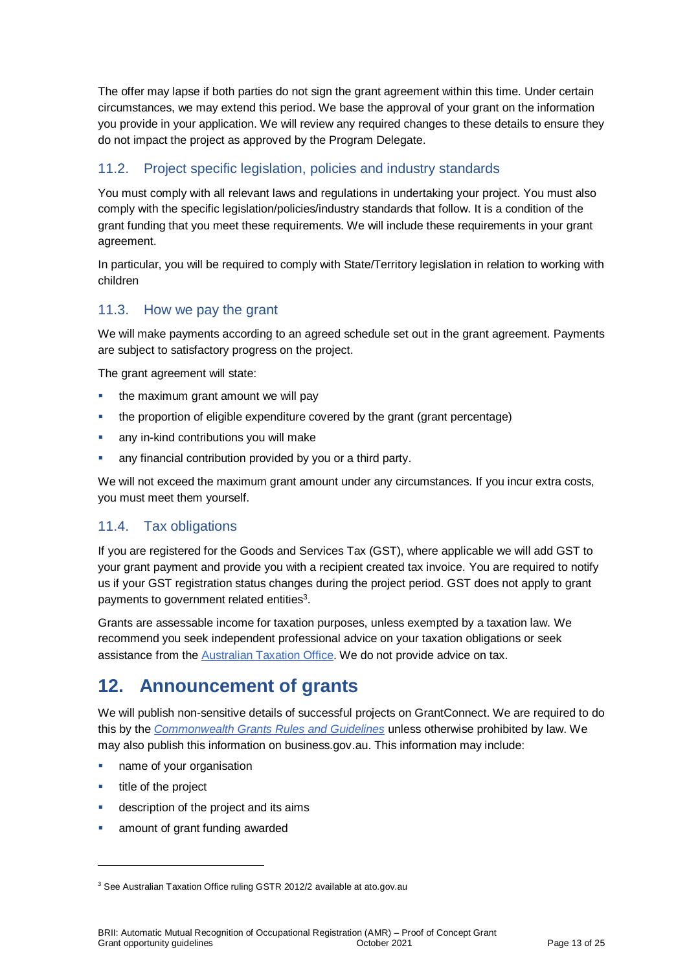The offer may lapse if both parties do not sign the grant agreement within this time. Under certain circumstances, we may extend this period. We base the approval of your grant on the information you provide in your application. We will review any required changes to these details to ensure they do not impact the project as approved by the Program Delegate.

#### 11.2. Project specific legislation, policies and industry standards

You must comply with all relevant laws and regulations in undertaking your project. You must also comply with the specific legislation/policies/industry standards that follow. It is a condition of the grant funding that you meet these requirements. We will include these requirements in your grant agreement.

In particular, you will be required to comply with State/Territory legislation in relation to working with children

#### 11.3. How we pay the grant

We will make payments according to an agreed schedule set out in the grant agreement. Payments are subject to satisfactory progress on the project.

The grant agreement will state:

- the maximum grant amount we will pay
- the proportion of eligible expenditure covered by the grant (grant percentage)
- **any in-kind contributions you will make**
- any financial contribution provided by you or a third party.

We will not exceed the maximum grant amount under any circumstances. If you incur extra costs, you must meet them yourself.

#### 11.4. Tax obligations

If you are registered for the Goods and Services Tax (GST), where applicable we will add GST to your grant payment and provide you with a recipient created tax invoice. You are required to notify us if your GST registration status changes during the project period. GST does not apply to grant payments to government related entities $3$ .

Grants are assessable income for taxation purposes, unless exempted by a taxation law. We recommend you seek independent professional advice on your taxation obligations or seek assistance from the [Australian Taxation Office.](https://www.ato.gov.au/) We do not provide advice on tax.

### **12. Announcement of grants**

We will publish non-sensitive details of successful projects on GrantConnect. We are required to do this by the *[Commonwealth Grants Rules and Guidelines](https://www.finance.gov.au/government/commonwealth-grants/commonwealth-grants-rules-guidelines)* unless otherwise prohibited by law. We may also publish this information on business.gov.au. This information may include:

- **name of your organisation**
- $\blacksquare$  title of the project

l

- **description of the project and its aims**
- amount of grant funding awarded

<sup>&</sup>lt;sup>3</sup> See Australian Taxation Office ruling GSTR 2012/2 available at ato.gov.au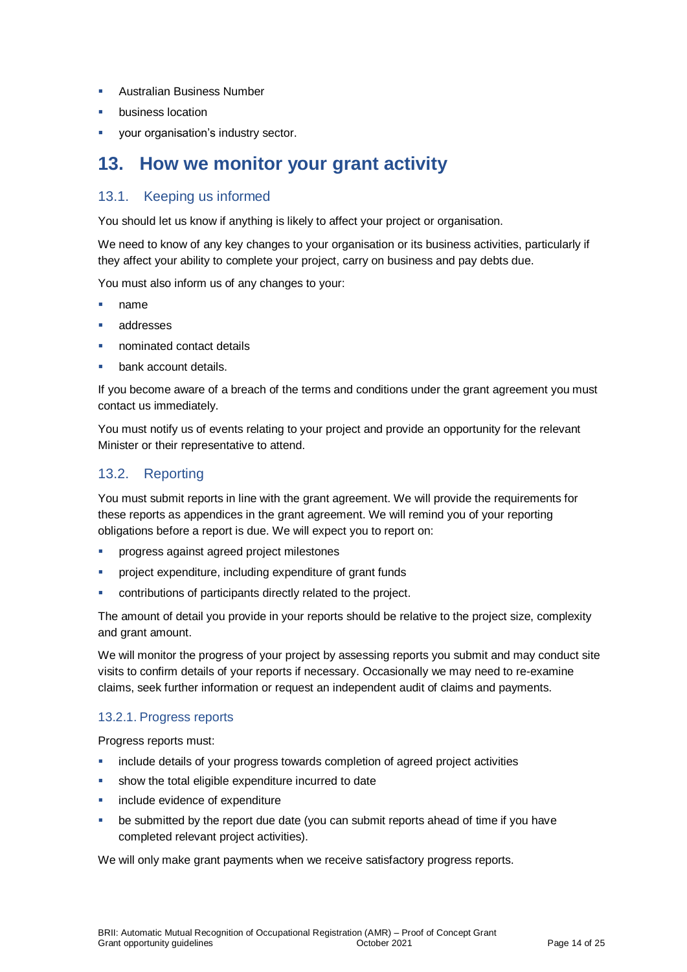- Australian Business Number
- business location
- your organisation's industry sector.

### **13. How we monitor your grant activity**

#### 13.1. Keeping us informed

You should let us know if anything is likely to affect your project or organisation.

We need to know of any key changes to your organisation or its business activities, particularly if they affect your ability to complete your project, carry on business and pay debts due.

You must also inform us of any changes to your:

- name
- addresses
- nominated contact details
- bank account details.

If you become aware of a breach of the terms and conditions under the grant agreement you must contact us immediately.

You must notify us of events relating to your project and provide an opportunity for the relevant Minister or their representative to attend.

#### 13.2. Reporting

You must submit reports in line with the [grant agreement.](file://///prod.protected.ind/User/user03/LLau2/insert%20link%20here) We will provide the requirements for these reports as appendices in the grant agreement. We will remind you of your reporting obligations before a report is due. We will expect you to report on:

- progress against agreed project milestones
- project expenditure, including expenditure of grant funds
- contributions of participants directly related to the project.

The amount of detail you provide in your reports should be relative to the project size, complexity and grant amount.

We will monitor the progress of your project by assessing reports you submit and may conduct site visits to confirm details of your reports if necessary. Occasionally we may need to re-examine claims, seek further information or request an independent audit of claims and payments.

#### 13.2.1. Progress reports

Progress reports must:

- include details of your progress towards completion of agreed project activities
- show the total eligible expenditure incurred to date
- include evidence of expenditure
- be submitted by the report due date (you can submit reports ahead of time if you have completed relevant project activities).

We will only make grant payments when we receive satisfactory progress reports.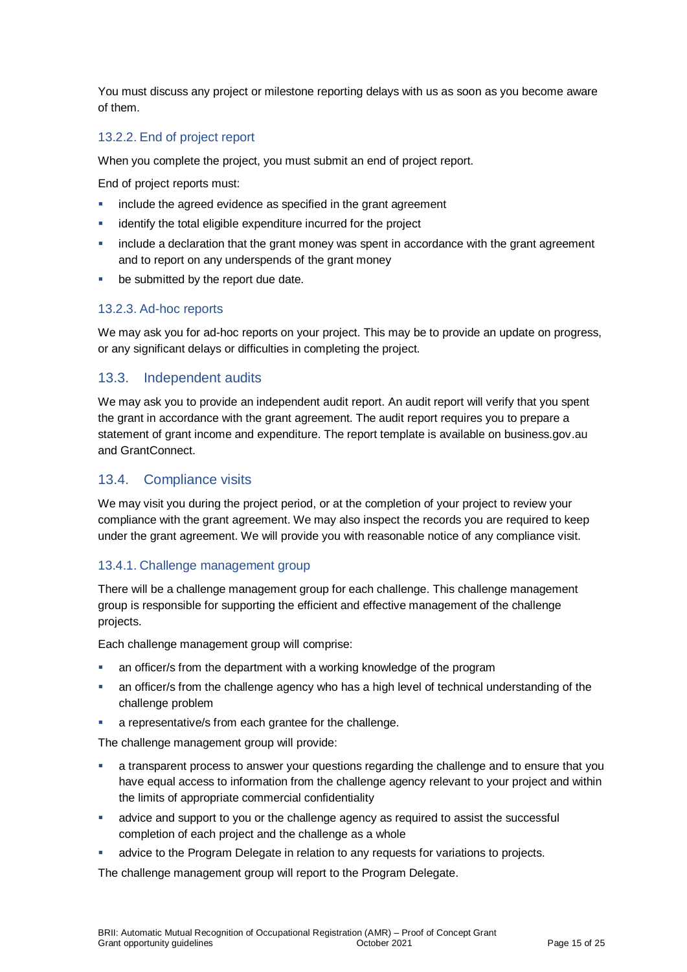You must discuss any project or milestone reporting delays with us as soon as you become aware of them.

#### 13.2.2. End of project report

When you complete the project, you must submit an end of project report.

End of project reports must:

- include the agreed evidence as specified in the grant agreement
- identify the total eligible expenditure incurred for the project
- include a declaration that the grant money was spent in accordance with the grant agreement and to report on any underspends of the grant money
- **be submitted by the report due date.**

#### 13.2.3. Ad-hoc reports

We may ask you for ad-hoc reports on your project. This may be to provide an update on progress, or any significant delays or difficulties in completing the project.

#### 13.3. Independent audits

We may ask you to provide an independent audit report. An audit report will verify that you spent the grant in accordance with the grant agreement. The audit report requires you to prepare a statement of grant income and expenditure. The report template is available on business.gov.au and GrantConnect.

#### 13.4. Compliance visits

We may visit you during the project period, or at the completion of your project to review your compliance with the grant agreement. We may also inspect the records you are required to keep under the grant agreement. We will provide you with reasonable notice of any compliance visit.

#### 13.4.1. Challenge management group

There will be a challenge management group for each challenge. This challenge management group is responsible for supporting the efficient and effective management of the challenge projects.

Each challenge management group will comprise:

- an officer/s from the department with a working knowledge of the program
- an officer/s from the challenge agency who has a high level of technical understanding of the challenge problem
- a representative/s from each grantee for the challenge.

The challenge management group will provide:

- a transparent process to answer your questions regarding the challenge and to ensure that you have equal access to information from the challenge agency relevant to your project and within the limits of appropriate commercial confidentiality
- advice and support to you or the challenge agency as required to assist the successful completion of each project and the challenge as a whole
- advice to the Program Delegate in relation to any requests for variations to projects.

The challenge management group will report to the Program Delegate.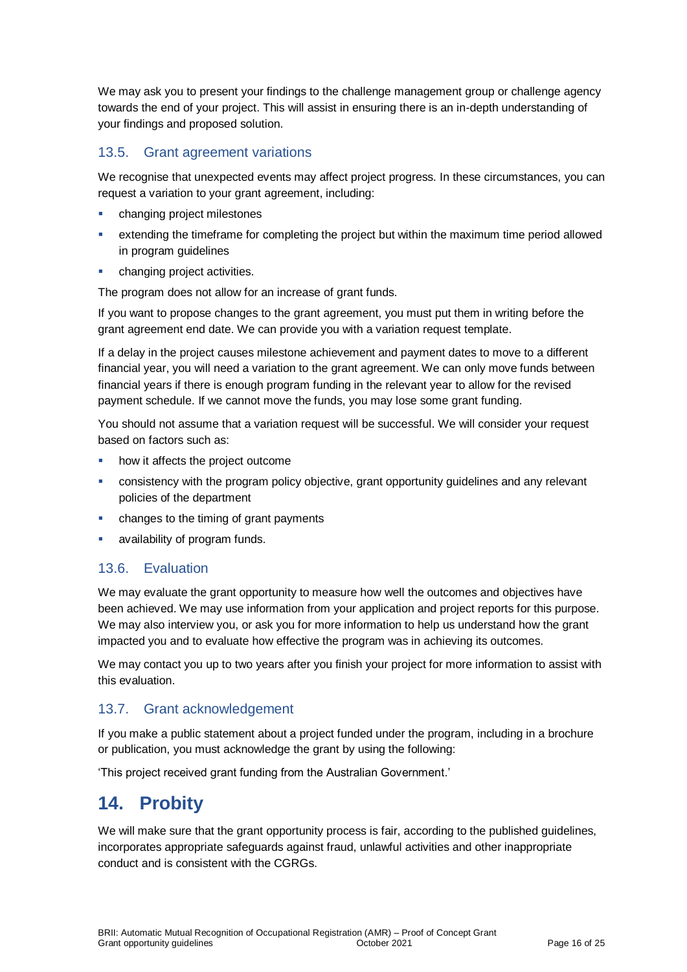We may ask you to present your findings to the challenge management group or challenge agency towards the end of your project. This will assist in ensuring there is an in-depth understanding of your findings and proposed solution.

#### 13.5. Grant agreement variations

We recognise that unexpected events may affect project progress. In these circumstances, you can request a variation to your grant agreement, including:

- changing project milestones
- extending the timeframe for completing the project but within the maximum time period allowed in program guidelines
- changing project activities.

The program does not allow for an increase of grant funds.

If you want to propose changes to the grant agreement, you must put them in writing before the grant agreement end date. We can provide you with a variation request template.

If a delay in the project causes milestone achievement and payment dates to move to a different financial year, you will need a variation to the grant agreement. We can only move funds between financial years if there is enough program funding in the relevant year to allow for the revised payment schedule. If we cannot move the funds, you may lose some grant funding.

You should not assume that a variation request will be successful. We will consider your request based on factors such as:

- how it affects the project outcome
- consistency with the program policy objective, grant opportunity guidelines and any relevant policies of the department
- changes to the timing of grant payments
- availability of program funds.

#### 13.6. Evaluation

We may evaluate the grant opportunity to measure how well the outcomes and objectives have been achieved. We may use information from your application and project reports for this purpose. We may also interview you, or ask you for more information to help us understand how the grant impacted you and to evaluate how effective the program was in achieving its outcomes.

We may contact you up to two years after you finish your project for more information to assist with this evaluation.

#### 13.7. Grant acknowledgement

If you make a public statement about a project funded under the program, including in a brochure or publication, you must acknowledge the grant by using the following:

'This project received grant funding from the Australian Government.'

# **14. Probity**

We will make sure that the grant opportunity process is fair, according to the published guidelines, incorporates appropriate safeguards against fraud, unlawful activities and other inappropriate conduct and is consistent with the CGRGs.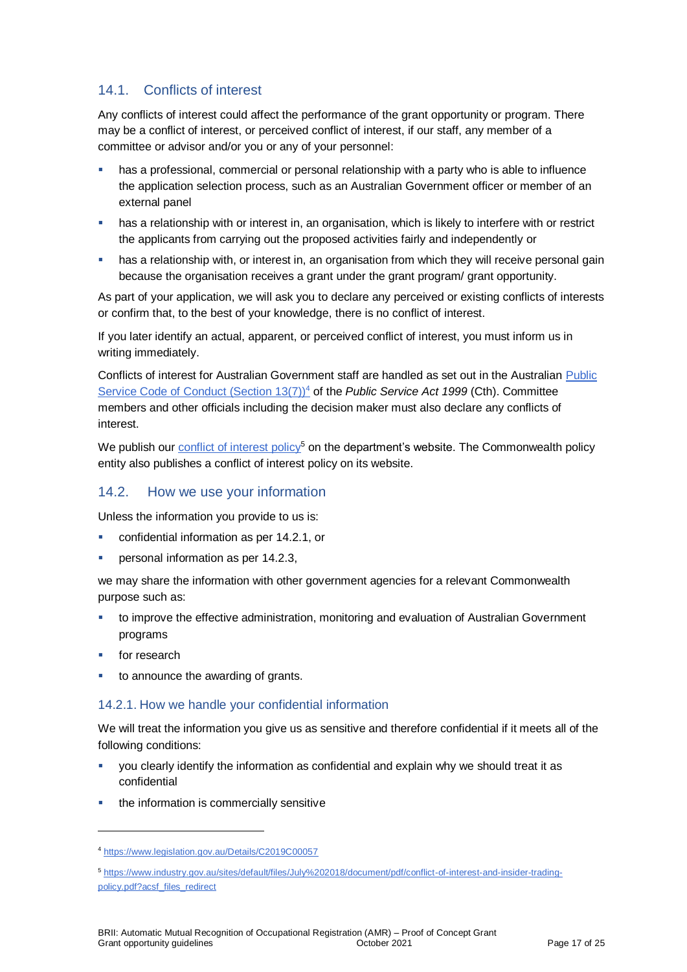#### 14.1. Conflicts of interest

Any conflicts of interest could affect the performance of the grant opportunity or program. There may be a [conflict of interest,](http://www.apsc.gov.au/publications-and-media/current-publications/aps-values-and-code-of-conduct-in-practice/conflict-of-interest) or perceived conflict of interest, if our staff, any member of a committee or advisor and/or you or any of your personnel:

- has a professional, commercial or personal relationship with a party who is able to influence the application selection process, such as an Australian Government officer or member of an external panel
- **has a relationship with or interest in, an organisation, which is likely to interfere with or restrict** the applicants from carrying out the proposed activities fairly and independently or
- has a relationship with, or interest in, an organisation from which they will receive personal gain because the organisation receives a grant under the grant program/ grant opportunity.

As part of your application, we will ask you to declare any perceived or existing conflicts of interests or confirm that, to the best of your knowledge, there is no conflict of interest.

If you later identify an actual, apparent, or perceived conflict of interest, you must inform us in writing immediately.

Conflicts of interest for Australian Government staff are handled as set out in the Australian [Public](https://www.legislation.gov.au/Details/C2019C00057)  [Service Code of Conduct \(Section 13\(7\)\)](https://www.legislation.gov.au/Details/C2019C00057)<sup>4</sup> of the *Public Service Act 1999* (Cth). Committee members and other officials including the decision maker must also declare any conflicts of interest.

We publish our [conflict of interest policy](https://www.industry.gov.au/sites/g/files/net3906/f/July%202018/document/pdf/conflict-of-interest-and-insider-trading-policy.pdf)<sup>5</sup> on the department's website. The Commonwealth policy entity also publishes a conflict of interest policy on its website.

#### 14.2. How we use your information

Unless the information you provide to us is:

- confidential information as per [14.2.1,](#page-16-0) or
- personal information as per [14.2.3,](#page-17-0)

we may share the information with other government agencies for a relevant Commonwealth purpose such as:

- to improve the effective administration, monitoring and evaluation of Australian Government programs
- for research

l

to announce the awarding of grants.

#### <span id="page-16-0"></span>14.2.1. How we handle your confidential information

We will treat the information you give us as sensitive and therefore confidential if it meets all of the following conditions:

- you clearly identify the information as confidential and explain why we should treat it as confidential
- the information is commercially sensitive

<sup>4</sup> https://www.legislation.gov.au/Details/C2019C00057

<sup>5</sup> [https://www.industry.gov.au/sites/default/files/July%202018/document/pdf/conflict-of-interest-and-insider-trading](https://www.industry.gov.au/sites/default/files/July%202018/document/pdf/conflict-of-interest-and-insider-trading-policy.pdf?acsf_files_redirect)[policy.pdf?acsf\\_files\\_redirect](https://www.industry.gov.au/sites/default/files/July%202018/document/pdf/conflict-of-interest-and-insider-trading-policy.pdf?acsf_files_redirect)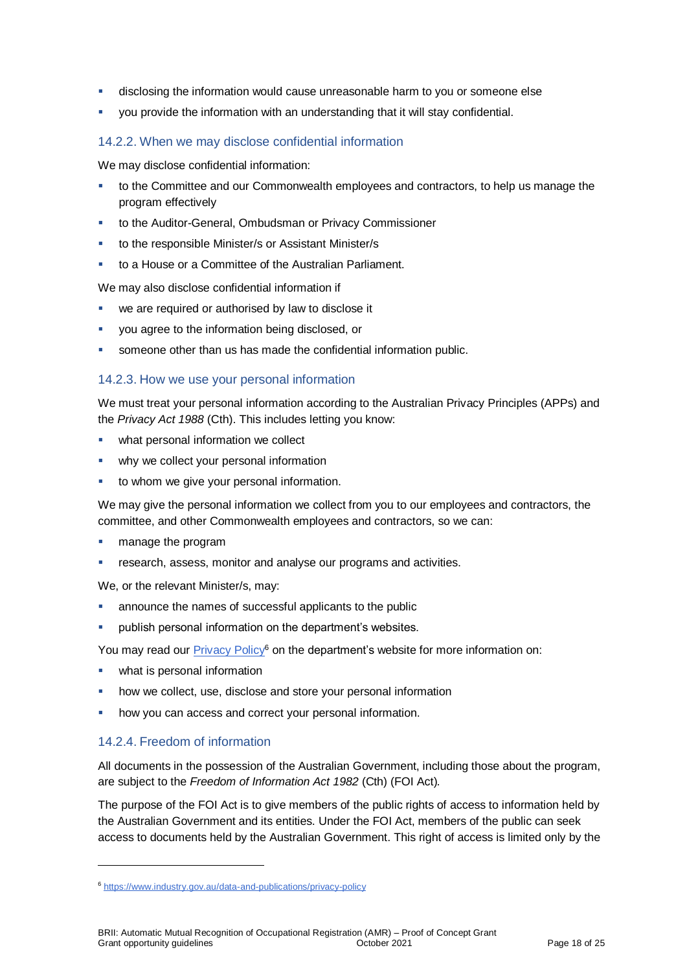- disclosing the information would cause unreasonable harm to you or someone else
- you provide the information with an understanding that it will stay confidential.

#### 14.2.2. When we may disclose confidential information

We may disclose confidential information:

- to the Committee and our Commonwealth employees and contractors, to help us manage the program effectively
- to the Auditor-General, Ombudsman or Privacy Commissioner
- to the responsible Minister/s or Assistant Minister/s
- to a House or a Committee of the Australian Parliament.

We may also disclose confidential information if

- we are required or authorised by law to disclose it
- you agree to the information being disclosed, or
- someone other than us has made the confidential information public.

#### <span id="page-17-0"></span>14.2.3. How we use your personal information

We must treat your personal information according to the Australian Privacy Principles (APPs) and the *Privacy Act 1988* (Cth). This includes letting you know:

- what personal information we collect
- why we collect your personal information
- to whom we give your personal information.

We may give the personal information we collect from you to our employees and contractors, the committee, and other Commonwealth employees and contractors, so we can:

- manage the program
- research, assess, monitor and analyse our programs and activities.

We, or the relevant Minister/s, may:

- announce the names of successful applicants to the public
- **•** publish personal information on the department's websites.

You may read our [Privacy Policy](https://www.industry.gov.au/data-and-publications/privacy-policy)<sup>6</sup> on the department's website for more information on:

- what is personal information
- how we collect, use, disclose and store your personal information
- how you can access and correct your personal information.

#### 14.2.4. Freedom of information

l

All documents in the possession of the Australian Government, including those about the program, are subject to the *Freedom of Information Act 1982* (Cth) (FOI Act)*.*

The purpose of the FOI Act is to give members of the public rights of access to information held by the Australian Government and its entities. Under the FOI Act, members of the public can seek access to documents held by the Australian Government. This right of access is limited only by the

<sup>6</sup> <https://www.industry.gov.au/data-and-publications/privacy-policy>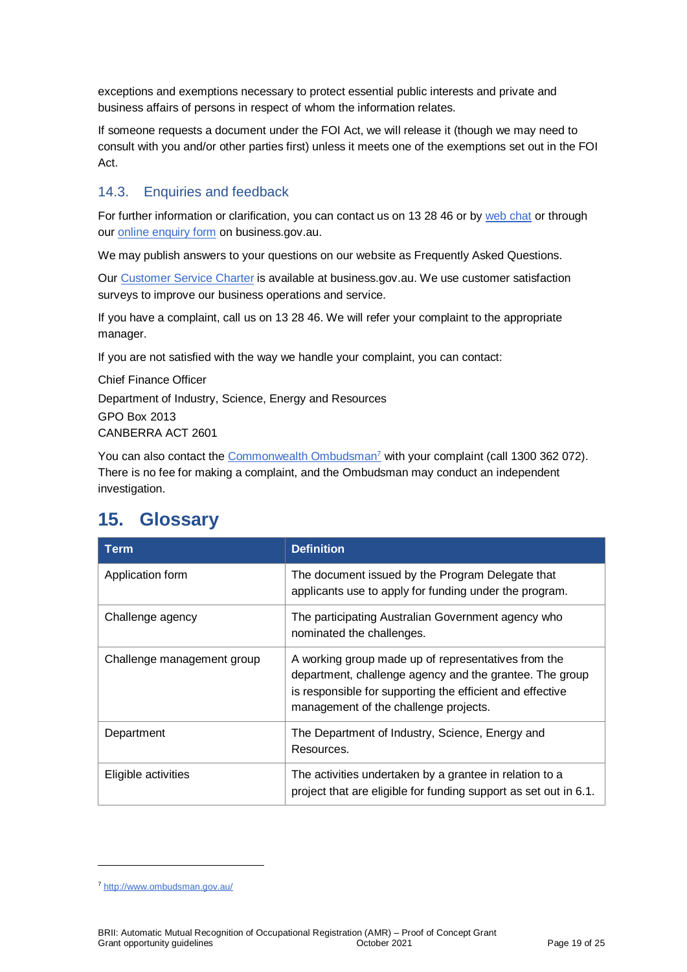exceptions and exemptions necessary to protect essential public interests and private and business affairs of persons in respect of whom the information relates.

If someone requests a document under the FOI Act, we will release it (though we may need to consult with you and/or other parties first) unless it meets one of the exemptions set out in the FOI Act.

#### 14.3. Enquiries and feedback

For further information or clarification, you can contact us on 13 28 46 or by [web chat](https://www.business.gov.au/contact-us) or through our [online enquiry form](http://www.business.gov.au/contact-us/Pages/default.aspx) on business.gov.au.

We may publish answers to your questions on our website as Frequently Asked Questions.

Our [Customer Service Charter](https://www.business.gov.au/about/customer-service-charter) is available at [business.gov.au.](http://www.business.gov.au/) We use customer satisfaction surveys to improve our business operations and service.

If you have a complaint, call us on 13 28 46. We will refer your complaint to the appropriate manager.

If you are not satisfied with the way we handle your complaint, you can contact:

Chief Finance Officer Department of Industry, Science, Energy and Resources GPO Box 2013 CANBERRA ACT 2601

You can also contact the [Commonwealth Ombudsman](http://www.ombudsman.gov.au/)<sup>7</sup> with your complaint (call 1300 362 072). There is no fee for making a complaint, and the Ombudsman may conduct an independent investigation.

### **15. Glossary**

| Term                       | <b>Definition</b>                                                                                                                                                                                                    |
|----------------------------|----------------------------------------------------------------------------------------------------------------------------------------------------------------------------------------------------------------------|
| Application form           | The document issued by the Program Delegate that<br>applicants use to apply for funding under the program.                                                                                                           |
| Challenge agency           | The participating Australian Government agency who<br>nominated the challenges.                                                                                                                                      |
| Challenge management group | A working group made up of representatives from the<br>department, challenge agency and the grantee. The group<br>is responsible for supporting the efficient and effective<br>management of the challenge projects. |
| Department                 | The Department of Industry, Science, Energy and<br>Resources.                                                                                                                                                        |
| Eligible activities        | The activities undertaken by a grantee in relation to a<br>project that are eligible for funding support as set out in 6.1.                                                                                          |

l

<sup>7</sup> <http://www.ombudsman.gov.au/>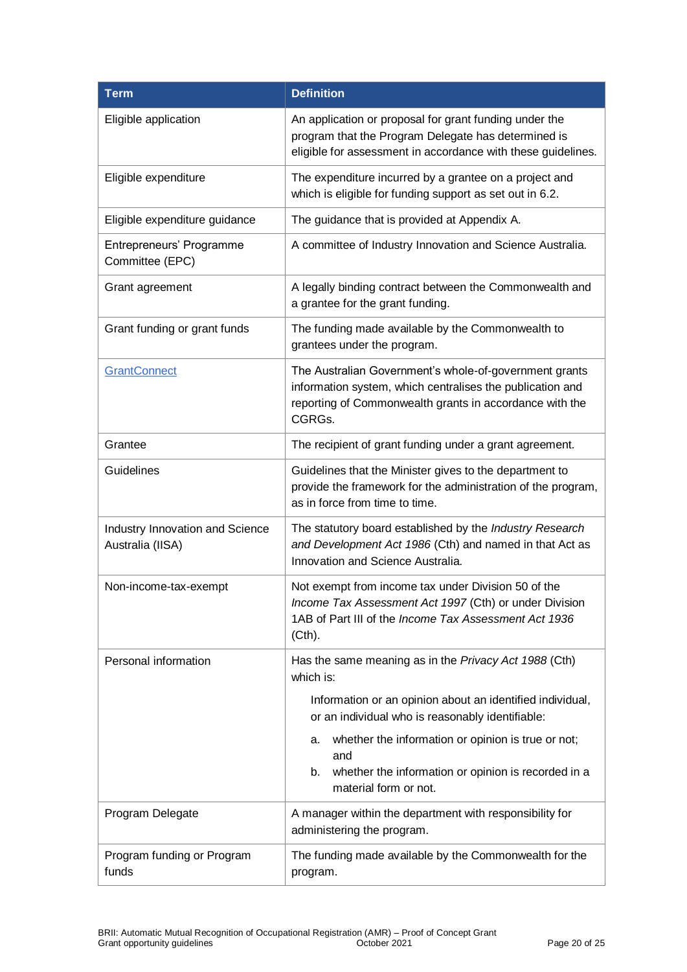| <b>Term</b>                                         | <b>Definition</b>                                                                                                                                                                        |
|-----------------------------------------------------|------------------------------------------------------------------------------------------------------------------------------------------------------------------------------------------|
| Eligible application                                | An application or proposal for grant funding under the<br>program that the Program Delegate has determined is<br>eligible for assessment in accordance with these guidelines.            |
| Eligible expenditure                                | The expenditure incurred by a grantee on a project and<br>which is eligible for funding support as set out in 6.2.                                                                       |
| Eligible expenditure guidance                       | The guidance that is provided at Appendix A.                                                                                                                                             |
| Entrepreneurs' Programme<br>Committee (EPC)         | A committee of Industry Innovation and Science Australia.                                                                                                                                |
| Grant agreement                                     | A legally binding contract between the Commonwealth and<br>a grantee for the grant funding.                                                                                              |
| Grant funding or grant funds                        | The funding made available by the Commonwealth to<br>grantees under the program.                                                                                                         |
| <b>GrantConnect</b>                                 | The Australian Government's whole-of-government grants<br>information system, which centralises the publication and<br>reporting of Commonwealth grants in accordance with the<br>CGRGs. |
| Grantee                                             | The recipient of grant funding under a grant agreement.                                                                                                                                  |
| Guidelines                                          | Guidelines that the Minister gives to the department to<br>provide the framework for the administration of the program,<br>as in force from time to time.                                |
| Industry Innovation and Science<br>Australia (IISA) | The statutory board established by the Industry Research<br>and Development Act 1986 (Cth) and named in that Act as<br>Innovation and Science Australia.                                 |
| Non-income-tax-exempt                               | Not exempt from income tax under Division 50 of the<br>Income Tax Assessment Act 1997 (Cth) or under Division<br>1AB of Part III of the Income Tax Assessment Act 1936<br>(Cth).         |
| Personal information                                | Has the same meaning as in the Privacy Act 1988 (Cth)<br>which is:                                                                                                                       |
|                                                     | Information or an opinion about an identified individual,<br>or an individual who is reasonably identifiable:                                                                            |
|                                                     | whether the information or opinion is true or not;<br>а.<br>and                                                                                                                          |
|                                                     | whether the information or opinion is recorded in a<br>b.<br>material form or not.                                                                                                       |
| Program Delegate                                    | A manager within the department with responsibility for<br>administering the program.                                                                                                    |
| Program funding or Program<br>funds                 | The funding made available by the Commonwealth for the<br>program.                                                                                                                       |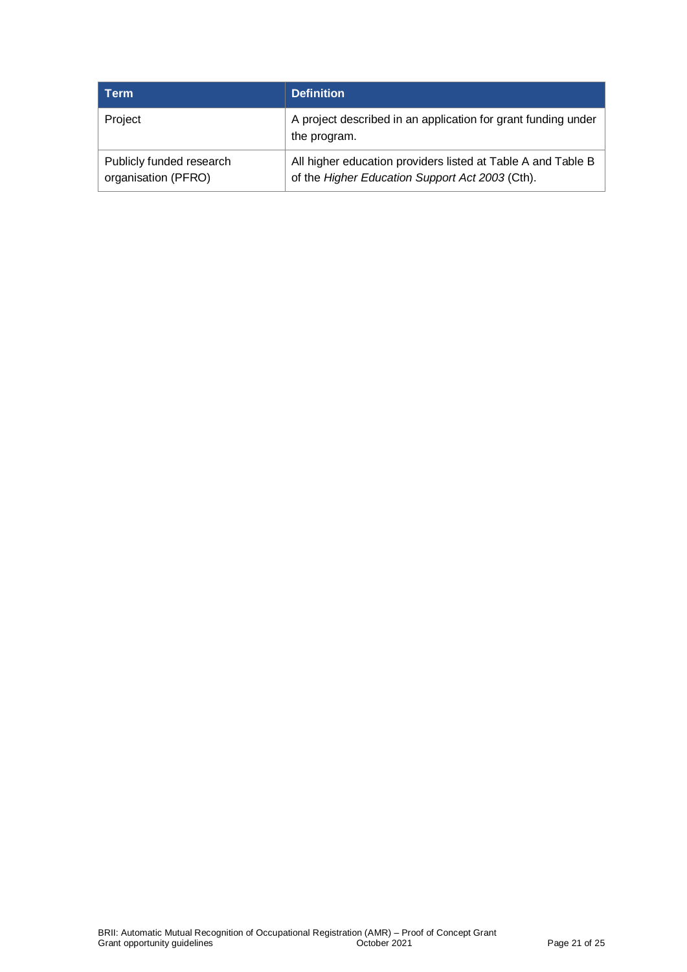| Term                                            | <b>Definition</b>                                                                                               |
|-------------------------------------------------|-----------------------------------------------------------------------------------------------------------------|
| Project                                         | A project described in an application for grant funding under<br>the program.                                   |
| Publicly funded research<br>organisation (PFRO) | All higher education providers listed at Table A and Table B<br>of the Higher Education Support Act 2003 (Cth). |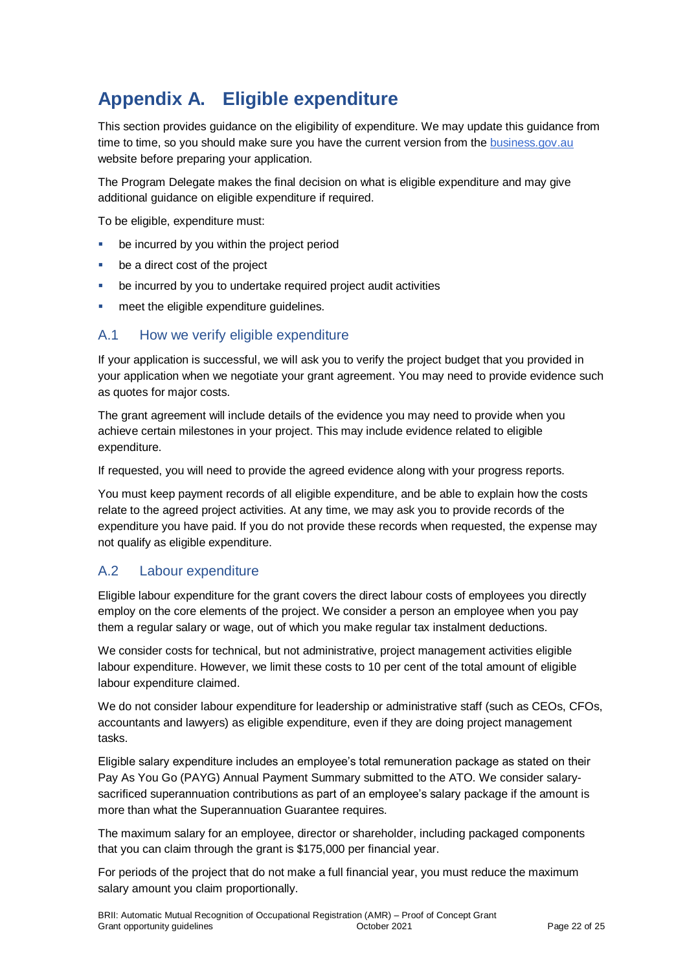# **Appendix A. Eligible expenditure**

This section provides guidance on the eligibility of expenditure. We may update this guidance from time to time, so you should make sure you have the current version from th[e business.gov.au](https://business.gov.au/) website before preparing your application.

The Program Delegate makes the final decision on what is eligible expenditure and may give additional quidance on eligible expenditure if required.

To be eligible, expenditure must:

- be incurred by you within the project period
- be a direct cost of the project
- be incurred by you to undertake required project audit activities
- meet the eligible expenditure guidelines.

#### A.1 How we verify eligible expenditure

If your application is successful, we will ask you to verify the project budget that you provided in your application when we negotiate your grant agreement. You may need to provide evidence such as quotes for major costs.

The grant agreement will include details of the evidence you may need to provide when you achieve certain milestones in your project. This may include evidence related to eligible expenditure.

If requested, you will need to provide the agreed evidence along with your progress reports.

You must keep payment records of all eligible expenditure, and be able to explain how the costs relate to the agreed project activities. At any time, we may ask you to provide records of the expenditure you have paid. If you do not provide these records when requested, the expense may not qualify as eligible expenditure.

#### A.2 Labour expenditure

Eligible labour expenditure for the grant covers the direct labour costs of employees you directly employ on the core elements of the project. We consider a person an employee when you pay them a regular salary or wage, out of which you make regular tax instalment deductions.

We consider costs for technical, but not administrative, project management activities eligible labour expenditure. However, we limit these costs to 10 per cent of the total amount of eligible labour expenditure claimed.

We do not consider labour expenditure for leadership or administrative staff (such as CEOs, CFOs, accountants and lawyers) as eligible expenditure, even if they are doing project management tasks.

Eligible salary expenditure includes an employee's total remuneration package as stated on their Pay As You Go (PAYG) Annual Payment Summary submitted to the ATO. We consider salarysacrificed superannuation contributions as part of an employee's salary package if the amount is more than what the Superannuation Guarantee requires.

The maximum salary for an employee, director or shareholder, including packaged components that you can claim through the grant is \$175,000 per financial year.

For periods of the project that do not make a full financial year, you must reduce the maximum salary amount you claim proportionally.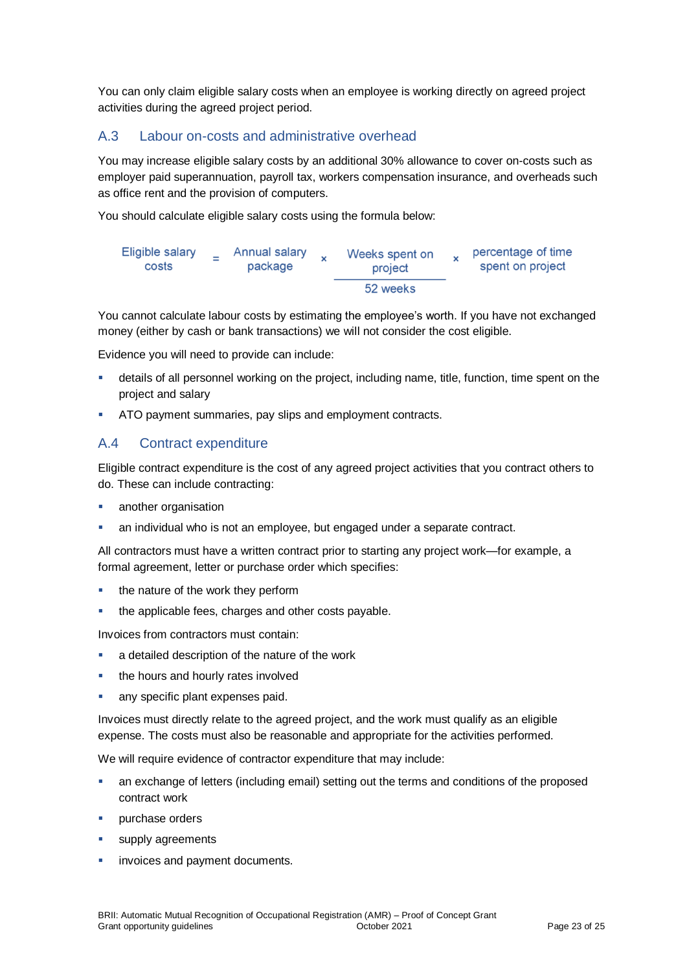You can only claim eligible salary costs when an employee is working directly on agreed project activities during the agreed project period.

#### A.3 Labour on-costs and administrative overhead

You may increase eligible salary costs by an additional 30% allowance to cover on-costs such as employer paid superannuation, payroll tax, workers compensation insurance, and overheads such as office rent and the provision of computers.

You should calculate eligible salary costs using the formula below:



You cannot calculate labour costs by estimating the employee's worth. If you have not exchanged money (either by cash or bank transactions) we will not consider the cost eligible.

Evidence you will need to provide can include:

- details of all personnel working on the project, including name, title, function, time spent on the project and salary
- ATO payment summaries, pay slips and employment contracts.

#### A.4 Contract expenditure

Eligible contract expenditure is the cost of any agreed project activities that you contract others to do. These can include contracting:

- another organisation
- an individual who is not an employee, but engaged under a separate contract.

All contractors must have a written contract prior to starting any project work—for example, a formal agreement, letter or purchase order which specifies:

- the nature of the work they perform
- the applicable fees, charges and other costs payable.

Invoices from contractors must contain:

- a detailed description of the nature of the work
- **the hours and hourly rates involved**
- any specific plant expenses paid.

Invoices must directly relate to the agreed project, and the work must qualify as an eligible expense. The costs must also be reasonable and appropriate for the activities performed.

We will require evidence of contractor expenditure that may include:

- an exchange of letters (including email) setting out the terms and conditions of the proposed contract work
- purchase orders
- supply agreements
- invoices and payment documents.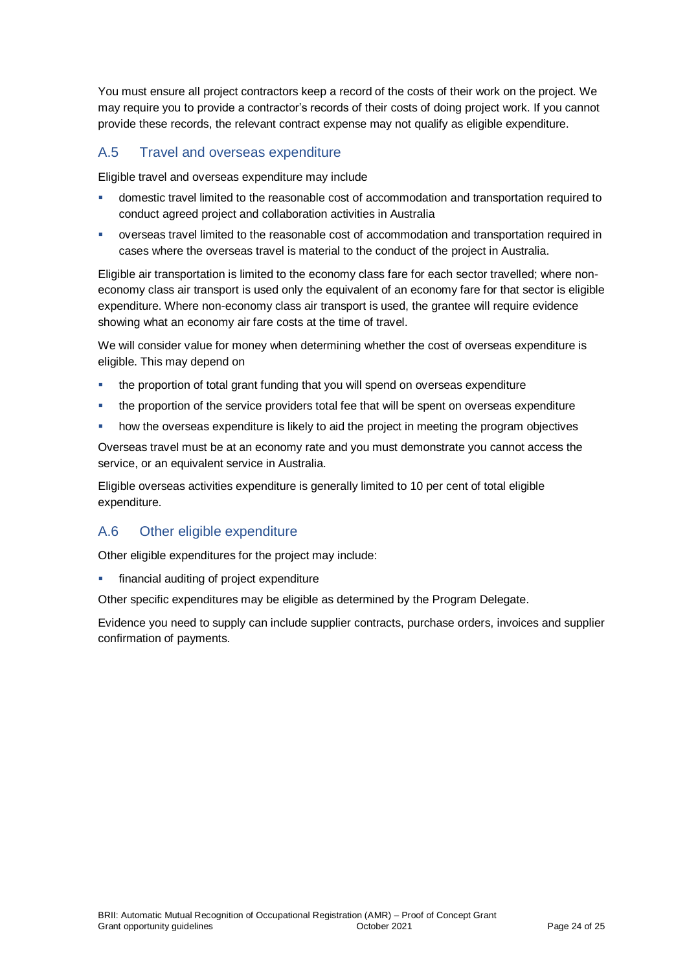You must ensure all project contractors keep a record of the costs of their work on the project. We may require you to provide a contractor's records of their costs of doing project work. If you cannot provide these records, the relevant contract expense may not qualify as eligible expenditure.

#### A.5 Travel and overseas expenditure

Eligible travel and overseas expenditure may include

- domestic travel limited to the reasonable cost of accommodation and transportation required to conduct agreed project and collaboration activities in Australia
- overseas travel limited to the reasonable cost of accommodation and transportation required in cases where the overseas travel is material to the conduct of the project in Australia.

Eligible air transportation is limited to the economy class fare for each sector travelled; where noneconomy class air transport is used only the equivalent of an economy fare for that sector is eligible expenditure. Where non-economy class air transport is used, the grantee will require evidence showing what an economy air fare costs at the time of travel.

We will consider value for money when determining whether the cost of overseas expenditure is eligible. This may depend on

- the proportion of total grant funding that you will spend on overseas expenditure
- the proportion of the service providers total fee that will be spent on overseas expenditure
- how the overseas expenditure is likely to aid the project in meeting the program objectives

Overseas travel must be at an economy rate and you must demonstrate you cannot access the service, or an equivalent service in Australia.

Eligible overseas activities expenditure is generally limited to 10 per cent of total eligible expenditure.

#### A.6 Other eligible expenditure

Other eligible expenditures for the project may include:

financial auditing of project expenditure

Other specific expenditures may be eligible as determined by the Program Delegate.

Evidence you need to supply can include supplier contracts, purchase orders, invoices and supplier confirmation of payments.